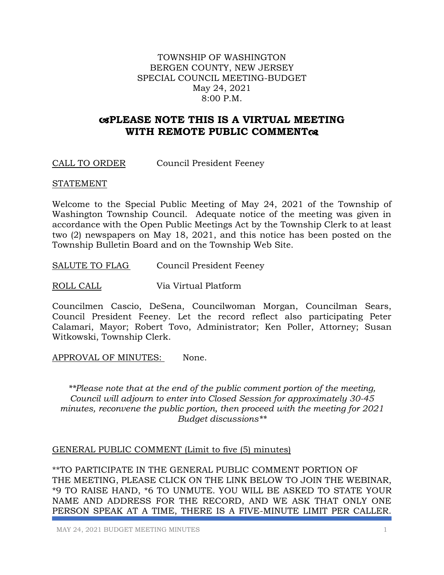### TOWNSHIP OF WASHINGTON BERGEN COUNTY, NEW JERSEY SPECIAL COUNCIL MEETING-BUDGET May 24, 2021 8:00 P.M.

# **PLEASE NOTE THIS IS A VIRTUAL MEETING WITH REMOTE PUBLIC COMMENT**

CALL TO ORDER Council President Feeney

#### STATEMENT

Welcome to the Special Public Meeting of May 24, 2021 of the Township of Washington Township Council. Adequate notice of the meeting was given in accordance with the Open Public Meetings Act by the Township Clerk to at least two (2) newspapers on May 18, 2021, and this notice has been posted on the Township Bulletin Board and on the Township Web Site.

SALUTE TO FLAG Council President Feeney

ROLL CALL Via Virtual Platform

Councilmen Cascio, DeSena, Councilwoman Morgan, Councilman Sears, Council President Feeney. Let the record reflect also participating Peter Calamari, Mayor; Robert Tovo, Administrator; Ken Poller, Attorney; Susan Witkowski, Township Clerk.

APPROVAL OF MINUTES: None.

*\*\*Please note that at the end of the public comment portion of the meeting, Council will adjourn to enter into Closed Session for approximately 30-45 minutes, reconvene the public portion, then proceed with the meeting for 2021 Budget discussions\*\**

### GENERAL PUBLIC COMMENT (Limit to five (5) minutes)

\*\*TO PARTICIPATE IN THE GENERAL PUBLIC COMMENT PORTION OF THE MEETING, PLEASE CLICK ON THE LINK BELOW TO JOIN THE WEBINAR, \*9 TO RAISE HAND, \*6 TO UNMUTE. YOU WILL BE ASKED TO STATE YOUR NAME AND ADDRESS FOR THE RECORD, AND WE ASK THAT ONLY ONE PERSON SPEAK AT A TIME, THERE IS A FIVE-MINUTE LIMIT PER CALLER.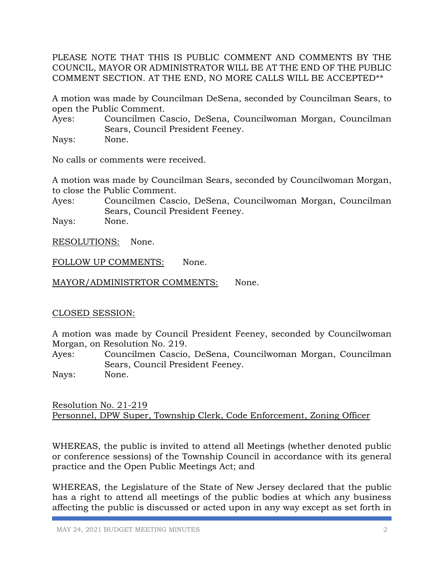PLEASE NOTE THAT THIS IS PUBLIC COMMENT AND COMMENTS BY THE COUNCIL, MAYOR OR ADMINISTRATOR WILL BE AT THE END OF THE PUBLIC COMMENT SECTION. AT THE END, NO MORE CALLS WILL BE ACCEPTED\*\*

A motion was made by Councilman DeSena, seconded by Councilman Sears, to open the Public Comment.

Ayes: Councilmen Cascio, DeSena, Councilwoman Morgan, Councilman Sears, Council President Feeney.

Nays: None.

No calls or comments were received.

A motion was made by Councilman Sears, seconded by Councilwoman Morgan, to close the Public Comment.

Ayes: Councilmen Cascio, DeSena, Councilwoman Morgan, Councilman Sears, Council President Feeney.

Nays: None.

RESOLUTIONS: None.

FOLLOW UP COMMENTS: None.

MAYOR/ADMINISTRTOR COMMENTS: None.

## CLOSED SESSION:

A motion was made by Council President Feeney, seconded by Councilwoman Morgan, on Resolution No. 219.

Ayes: Councilmen Cascio, DeSena, Councilwoman Morgan, Councilman Sears, Council President Feeney.

Nays: None.

Resolution No. 21-219 Personnel, DPW Super, Township Clerk, Code Enforcement, Zoning Officer

WHEREAS, the public is invited to attend all Meetings (whether denoted public or conference sessions) of the Township Council in accordance with its general practice and the Open Public Meetings Act; and

WHEREAS, the Legislature of the State of New Jersey declared that the public has a right to attend all meetings of the public bodies at which any business affecting the public is discussed or acted upon in any way except as set forth in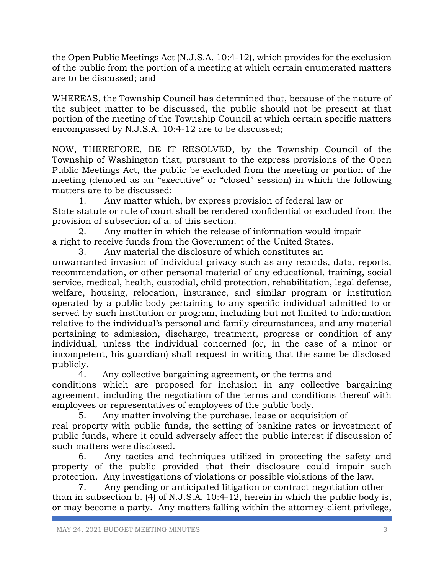the Open Public Meetings Act (N.J.S.A. 10:4-12), which provides for the exclusion of the public from the portion of a meeting at which certain enumerated matters are to be discussed; and

WHEREAS, the Township Council has determined that, because of the nature of the subject matter to be discussed, the public should not be present at that portion of the meeting of the Township Council at which certain specific matters encompassed by N.J.S.A. 10:4-12 are to be discussed;

NOW, THEREFORE, BE IT RESOLVED, by the Township Council of the Township of Washington that, pursuant to the express provisions of the Open Public Meetings Act, the public be excluded from the meeting or portion of the meeting (denoted as an "executive" or "closed" session) in which the following matters are to be discussed:

1. Any matter which, by express provision of federal law or State statute or rule of court shall be rendered confidential or excluded from the provision of subsection of a. of this section.

2. Any matter in which the release of information would impair a right to receive funds from the Government of the United States.

3. Any material the disclosure of which constitutes an unwarranted invasion of individual privacy such as any records, data, reports, recommendation, or other personal material of any educational, training, social service, medical, health, custodial, child protection, rehabilitation, legal defense, welfare, housing, relocation, insurance, and similar program or institution operated by a public body pertaining to any specific individual admitted to or served by such institution or program, including but not limited to information relative to the individual's personal and family circumstances, and any material pertaining to admission, discharge, treatment, progress or condition of any individual, unless the individual concerned (or, in the case of a minor or incompetent, his guardian) shall request in writing that the same be disclosed publicly.

4. Any collective bargaining agreement, or the terms and conditions which are proposed for inclusion in any collective bargaining agreement, including the negotiation of the terms and conditions thereof with employees or representatives of employees of the public body.

5. Any matter involving the purchase, lease or acquisition of real property with public funds, the setting of banking rates or investment of public funds, where it could adversely affect the public interest if discussion of such matters were disclosed.

6. Any tactics and techniques utilized in protecting the safety and property of the public provided that their disclosure could impair such protection. Any investigations of violations or possible violations of the law.

7. Any pending or anticipated litigation or contract negotiation other than in subsection b. (4) of N.J.S.A. 10:4-12, herein in which the public body is, or may become a party. Any matters falling within the attorney-client privilege,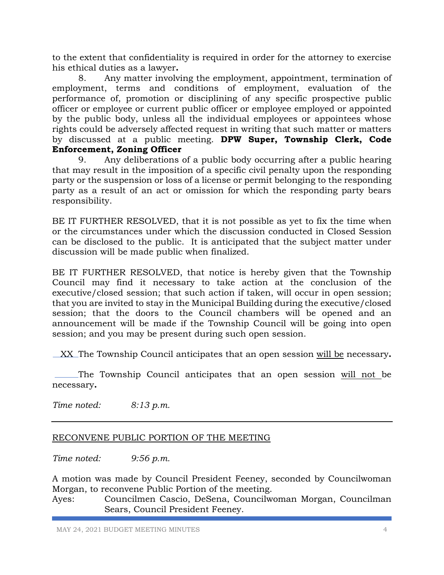to the extent that confidentiality is required in order for the attorney to exercise his ethical duties as a lawyer**.**

8. Any matter involving the employment, appointment, termination of employment, terms and conditions of employment, evaluation of the performance of, promotion or disciplining of any specific prospective public officer or employee or current public officer or employee employed or appointed by the public body, unless all the individual employees or appointees whose rights could be adversely affected request in writing that such matter or matters by discussed at a public meeting. **DPW Super, Township Clerk, Code Enforcement, Zoning Officer**

9. Any deliberations of a public body occurring after a public hearing that may result in the imposition of a specific civil penalty upon the responding party or the suspension or loss of a license or permit belonging to the responding party as a result of an act or omission for which the responding party bears responsibility.

BE IT FURTHER RESOLVED, that it is not possible as yet to fix the time when or the circumstances under which the discussion conducted in Closed Session can be disclosed to the public. It is anticipated that the subject matter under discussion will be made public when finalized.

BE IT FURTHER RESOLVED, that notice is hereby given that the Township Council may find it necessary to take action at the conclusion of the executive/closed session; that such action if taken, will occur in open session; that you are invited to stay in the Municipal Building during the executive/closed session; that the doors to the Council chambers will be opened and an announcement will be made if the Township Council will be going into open session; and you may be present during such open session.

XX The Township Council anticipates that an open session will be necessary**.**

 The Township Council anticipates that an open session will not be necessary**.**

*Time noted: 8:13 p.m.* 

## RECONVENE PUBLIC PORTION OF THE MEETING

*Time noted: 9:56 p.m.* 

A motion was made by Council President Feeney, seconded by Councilwoman Morgan, to reconvene Public Portion of the meeting.

Ayes: Councilmen Cascio, DeSena, Councilwoman Morgan, Councilman Sears, Council President Feeney.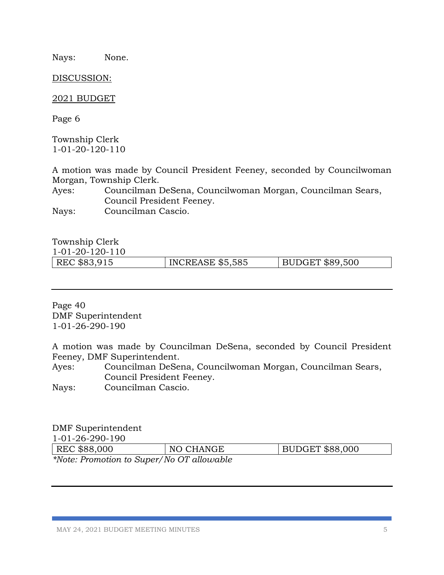Nays: None.

DISCUSSION:

2021 BUDGET

Page 6

Township Clerk 1-01-20-120-110

A motion was made by Council President Feeney, seconded by Councilwoman Morgan, Township Clerk.

Ayes: Councilman DeSena, Councilwoman Morgan, Councilman Sears, Council President Feeney.

Nays: Councilman Cascio.

Township Clerk

1-01-20-120-110

| 101201201    |                         |                 |
|--------------|-------------------------|-----------------|
| REC \$83,915 | <b>INCREASE \$5,585</b> | BUDGET \$89,500 |

Page 40 DMF Superintendent 1-01-26-290-190

A motion was made by Councilman DeSena, seconded by Council President Feeney, DMF Superintendent.

Ayes: Councilman DeSena, Councilwoman Morgan, Councilman Sears, Council President Feeney.

Nays: Councilman Cascio.

## DMF Superintendent

1-01-26-290-190

| REC \$88,000                              | NO CHANGE | BUDGET \$88,000 |
|-------------------------------------------|-----------|-----------------|
| *Note: Promotion to Super/No OT allowable |           |                 |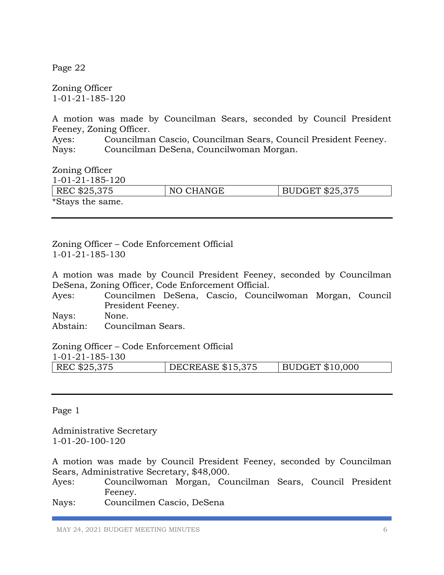Page 22

Zoning Officer 1-01-21-185-120

A motion was made by Councilman Sears, seconded by Council President Feeney, Zoning Officer.

Ayes: Councilman Cascio, Councilman Sears, Council President Feeney. Nays: Councilman DeSena, Councilwoman Morgan.

Zoning Officer

| 1-01-21-185-120  |           |                 |
|------------------|-----------|-----------------|
| REC \$25,375     | NO CHANGE | BUDGET \$25,375 |
| *Stays the same. |           |                 |

Zoning Officer – Code Enforcement Official 1-01-21-185-130

A motion was made by Council President Feeney, seconded by Councilman DeSena, Zoning Officer, Code Enforcement Official.

Ayes: Councilmen DeSena, Cascio, Councilwoman Morgan, Council President Feeney.

Nays: None.

Abstain: Councilman Sears.

Zoning Officer – Code Enforcement Official

1-01-21-185-130

| REC \$25,375 | DECREASE \$15,375 | BUDGET \$10,000 |
|--------------|-------------------|-----------------|
|--------------|-------------------|-----------------|

Page 1

Administrative Secretary 1-01-20-100-120

A motion was made by Council President Feeney, seconded by Councilman Sears, Administrative Secretary, \$48,000.

Ayes: Councilwoman Morgan, Councilman Sears, Council President Feeney.

Nays: Councilmen Cascio, DeSena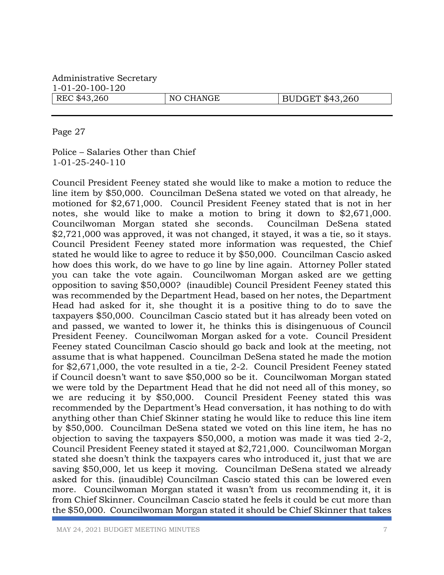Page 27

Police – Salaries Other than Chief 1-01-25-240-110

Council President Feeney stated she would like to make a motion to reduce the line item by \$50,000. Councilman DeSena stated we voted on that already, he motioned for \$2,671,000. Council President Feeney stated that is not in her notes, she would like to make a motion to bring it down to \$2,671,000. Councilwoman Morgan stated she seconds. Councilman DeSena stated \$2,721,000 was approved, it was not changed, it stayed, it was a tie, so it stays. Council President Feeney stated more information was requested, the Chief stated he would like to agree to reduce it by \$50,000. Councilman Cascio asked how does this work, do we have to go line by line again. Attorney Poller stated you can take the vote again. Councilwoman Morgan asked are we getting opposition to saving \$50,000? (inaudible) Council President Feeney stated this was recommended by the Department Head, based on her notes, the Department Head had asked for it, she thought it is a positive thing to do to save the taxpayers \$50,000. Councilman Cascio stated but it has already been voted on and passed, we wanted to lower it, he thinks this is disingenuous of Council President Feeney. Councilwoman Morgan asked for a vote. Council President Feeney stated Councilman Cascio should go back and look at the meeting, not assume that is what happened. Councilman DeSena stated he made the motion for \$2,671,000, the vote resulted in a tie, 2-2. Council President Feeney stated if Council doesn't want to save \$50,000 so be it. Councilwoman Morgan stated we were told by the Department Head that he did not need all of this money, so we are reducing it by \$50,000. Council President Feeney stated this was recommended by the Department's Head conversation, it has nothing to do with anything other than Chief Skinner stating he would like to reduce this line item by \$50,000. Councilman DeSena stated we voted on this line item, he has no objection to saving the taxpayers \$50,000, a motion was made it was tied 2-2, Council President Feeney stated it stayed at \$2,721,000. Councilwoman Morgan stated she doesn't think the taxpayers cares who introduced it, just that we are saving \$50,000, let us keep it moving. Councilman DeSena stated we already asked for this. (inaudible) Councilman Cascio stated this can be lowered even more. Councilwoman Morgan stated it wasn't from us recommending it, it is from Chief Skinner. Councilman Cascio stated he feels it could be cut more than the \$50,000. Councilwoman Morgan stated it should be Chief Skinner that takes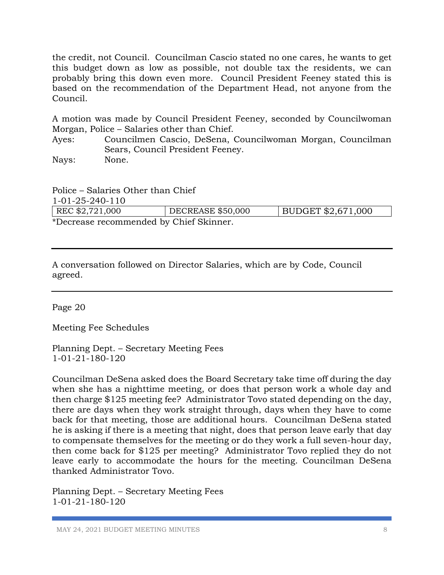the credit, not Council. Councilman Cascio stated no one cares, he wants to get this budget down as low as possible, not double tax the residents, we can probably bring this down even more. Council President Feeney stated this is based on the recommendation of the Department Head, not anyone from the Council.

A motion was made by Council President Feeney, seconded by Councilwoman Morgan, Police – Salaries other than Chief.

Ayes: Councilmen Cascio, DeSena, Councilwoman Morgan, Councilman Sears, Council President Feeney.

Nays: None.

Police – Salaries Other than Chief 1-01-25-240-110

| REC \$2,721,000                         | DECREASE \$50,000 | BUDGET $$2,671,000$ |
|-----------------------------------------|-------------------|---------------------|
| *Decrease recommended by Chief Skinner. |                   |                     |

A conversation followed on Director Salaries, which are by Code, Council agreed.

Page 20

Meeting Fee Schedules

Planning Dept. – Secretary Meeting Fees 1-01-21-180-120

Councilman DeSena asked does the Board Secretary take time off during the day when she has a nighttime meeting, or does that person work a whole day and then charge \$125 meeting fee? Administrator Tovo stated depending on the day, there are days when they work straight through, days when they have to come back for that meeting, those are additional hours. Councilman DeSena stated he is asking if there is a meeting that night, does that person leave early that day to compensate themselves for the meeting or do they work a full seven-hour day, then come back for \$125 per meeting? Administrator Tovo replied they do not leave early to accommodate the hours for the meeting. Councilman DeSena thanked Administrator Tovo.

Planning Dept. – Secretary Meeting Fees 1-01-21-180-120